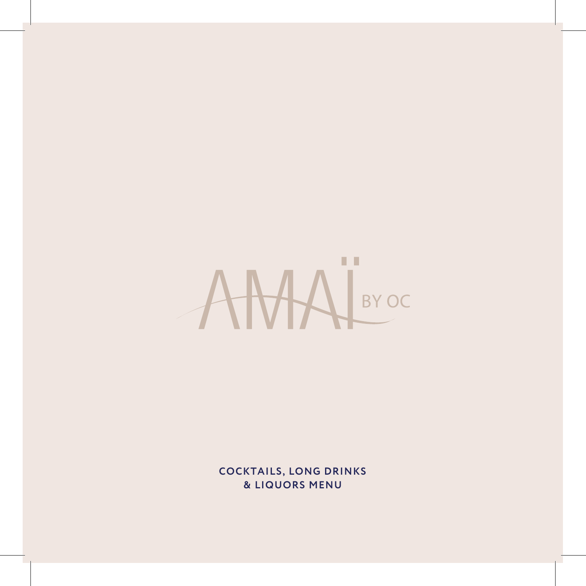

**COCKTAILS, LONG DRINKS & LIQUORS MENU**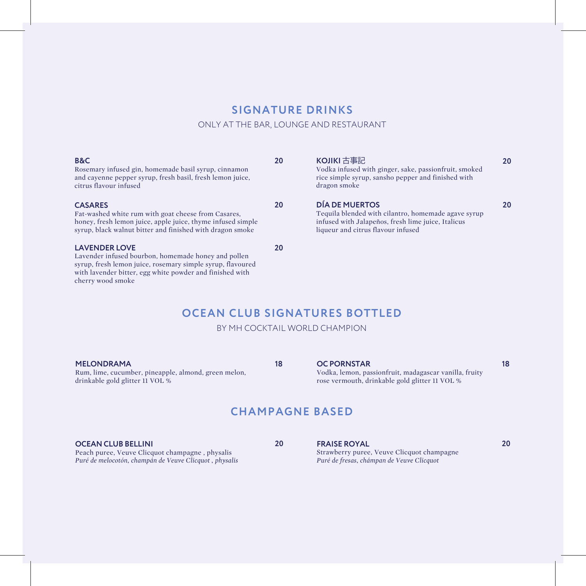# **SIGNATURE DRINKS**

## ONLY AT THE BAR, LOUNGE AND RESTAURANT

| B&C<br>Rosemary infused gin, homemade basil syrup, cinnamon<br>and cayenne pepper syrup, fresh basil, fresh lemon juice,<br>citrus flavour infused                                                | 20 | KOJIKI 古事記<br>Vodka infused with ginger, sake, passionfruit, smoked<br>rice simple syrup, sansho pepper and finished with<br>dragon smoke                         | 20 |
|---------------------------------------------------------------------------------------------------------------------------------------------------------------------------------------------------|----|-------------------------------------------------------------------------------------------------------------------------------------------------------------------|----|
| <b>CASARES</b><br>Fat-washed white rum with goat cheese from Casares,<br>honey, fresh lemon juice, apple juice, thyme infused simple<br>syrup, black walnut bitter and finished with dragon smoke | 20 | DÍA DE MUERTOS<br>Tequila blended with cilantro, homemade agave syrup<br>infused with Jalapeños, fresh lime juice, Italicus<br>liqueur and citrus flavour infused | 20 |
| <b>LAVENDER LOVE</b><br>Lavender infused bourbon, homemade honey and pollen<br>syrup, fresh lemon juice, rosemary simple syrup, flavoured                                                         | 20 |                                                                                                                                                                   |    |

**OCEAN CLUB SIGNATURES BOTTLED**

BY MH COCKTAIL WORLD CHAMPION

| <b>MELONDRAMA</b>                                    | <b>OC PORNSTAR</b>                                     |  |
|------------------------------------------------------|--------------------------------------------------------|--|
| Rum, lime, cucumber, pineapple, almond, green melon, | Vodka, lemon, passionfruit, madagascar vanilla, fruity |  |
| drinkable gold glitter 11 VOL %                      | rose vermouth, drinkable gold glitter 11 VOL %         |  |
|                                                      |                                                        |  |

# **CHAMPAGNE BASED**

**OCEAN CLUB BELLINI**

cherry wood smoke

Peach puree, Veuve Clicquot champagne , physalis *Puré de melocotón, champán de Veuve Clicquot , physalis*

with lavender bitter, egg white powder and finished with

**FRAISE ROYAL 20 20**Strawberry puree, Veuve Clicquot champagne *Puré de fresas, chámpan de Veuve Clicquot*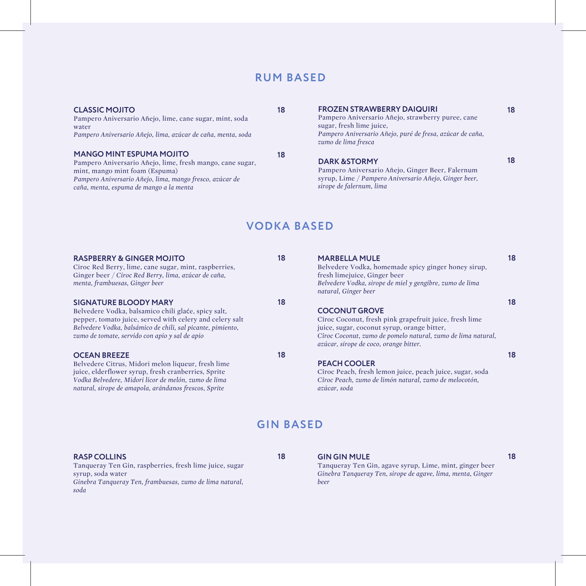## **RUM BASED**

### **CLASSIC MOJITO**

Pampero Aniversario Añejo, lime, cane sugar, mint, soda water *Pampero Aniversario Añejo, lima, azúcar de caña, menta, soda*

### **MANGO MINT ESPUMA MOJITO**

Pampero Aniversario Añejo, lime, fresh mango, cane sugar, mint, mango mint foam (Espuma) *Pampero Aniversario Añejo, lima, mango fresco, azúcar de caña, menta, espuma de mango a la menta*

**18**

**FROZEN STRAWBERRY DAIQUIRI 18 18** Pampero Aniversario Añejo, strawberry puree, cane sugar, fresh lime juice, *Pampero Aniversario Añejo, puré de fresa, azúcar de caña, zumo de lima fresca*

## **DARK &STORMY**

Pampero Aniversario Añejo, Ginger Beer, Falernum syrup, Lime / *Pampero Aniversario Añejo, Ginger beer, sirope de falernum, lima*

## **VODKA BASED**

| <b>RASPBERRY &amp; GINGER MOJITO</b><br>Ciroc Red Berry, lime, cane sugar, mint, raspberries,<br>Ginger beer / Ciroc Red Berry, lima, azúcar de caña,<br>menta, frambuesas, Ginger beer                                                                          | 18 | <b>MARBELLA MULE</b><br>Belvedere Vodka, homemade spicy ginger honey sirup,<br>fresh limejuice, Ginger beer<br>Belvedere Vodka, sirope de miel y gengibre, zumo de lima<br>natural, Ginger beer                                         | 18 |
|------------------------------------------------------------------------------------------------------------------------------------------------------------------------------------------------------------------------------------------------------------------|----|-----------------------------------------------------------------------------------------------------------------------------------------------------------------------------------------------------------------------------------------|----|
| <b>SIGNATURE BLOODY MARY</b><br>Belvedere Vodka, balsamico chili glaće, spicy salt,<br>pepper, tomato juice, served with celery and celery salt<br>Belvedere Vodka, balsámico de chili, sal picante, pimiento,<br>zumo de tomate, servido con apio y sal de apio | 18 | <b>COCONUT GROVE</b><br>Cîroc Coconut, fresh pink grapefruit juice, fresh lime<br>juice, sugar, coconut syrup, orange bitter,<br>Cîroc Coconut, zumo de pomelo natural, zumo de lima natural,<br>azúcar, sirope de coco, orange bitter. | 18 |
| <b>OCEAN BREEZE</b><br>Belvedere Citrus, Midori melon liqueur, fresh lime<br>juice, elderflower syrup, fresh cranberries, Sprite<br>Vodka Belvedere, Midori licor de melón, zumo de lima<br>natural, sirope de amapola, arándanos frescos, Sprite                | 18 | <b>PEACH COOLER</b><br>Cîroc Peach, fresh lemon juice, peach juice, sugar, soda<br>Cîroc Peach, zumo de limón natural, zumo de melocotón,<br>azúcar, soda                                                                               | 18 |

## **GIN BASED**

### **RASP COLLINS**

Tanqueray Ten Gin, raspberries, fresh lime juice, sugar syrup, soda water *Ginebra Tanqueray Ten, frambuesas, zumo de lima natural, soda*

### **GIN GIN MULE 18 18**

Tanqueray Ten Gin, agave syrup, Lime, mint, ginger beer *Ginebra Tanqueray Ten, sirope de agave, lima, menta, Ginger beer*

**18**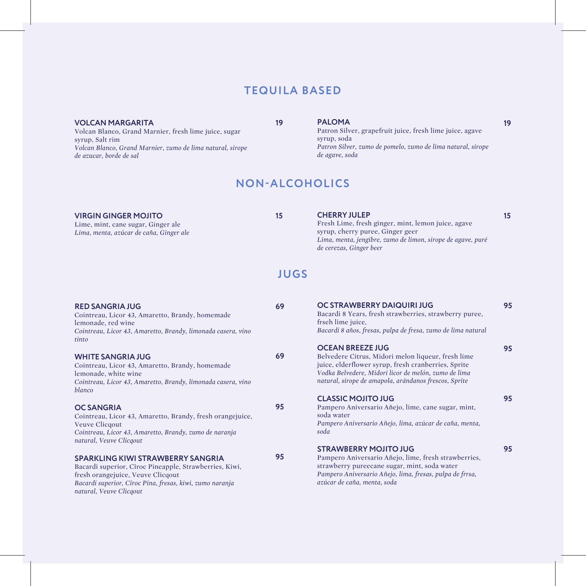# **TEQUILA BASED**

### **VOLCAN MARGARITA**

Volcan Blanco, Grand Marnier, fresh lime juice, sugar syrup, Salt rim *Volcan Blanco, Grand Marnier, zumo de lima natural, sirope de azucar, borde de sal*

**PALOMA** Patron Silver, grapefruit juice, fresh lime juice, agave **19 19** syrup, soda *Patron Silver, zumo de pomelo, zumo de lima natural, sirope de agave, soda*

# **NON-ALCOHOLICS**

| <b>VIRGIN GINGER MOJITO</b><br>Lime, mint, cane sugar, Ginger ale<br>Lima, menta, azúcar de caña, Ginger ale | <b>CHERRY JULEP</b><br>Fresh Lime, fresh ginger, mint, lemon juice, agave<br>syrup, cherry puree, Ginger geer<br>Lima, menta, jengibre, zumo de limon, sirope de agave, puré<br>de cerezas, Ginger beer | 15 |
|--------------------------------------------------------------------------------------------------------------|---------------------------------------------------------------------------------------------------------------------------------------------------------------------------------------------------------|----|
|                                                                                                              |                                                                                                                                                                                                         |    |

## **JUGS**

| <b>RED SANGRIA JUG</b><br>Cointreau, Licor 43, Amaretto, Brandy, homemade<br>lemonade, red wine<br>Cointreau, Licor 43, Amaretto, Brandy, limonada casera, vino<br>tinto                                                | 69 | OC STRAWBERRY DAIQUIRI JUG<br>Bacardi 8 Years, fresh strawberries, strawberry puree,<br>frseh lime juice,<br>Bacardi 8 años, fresas, pulpa de fresa, zumo de lima natural                                                                             | 95 |
|-------------------------------------------------------------------------------------------------------------------------------------------------------------------------------------------------------------------------|----|-------------------------------------------------------------------------------------------------------------------------------------------------------------------------------------------------------------------------------------------------------|----|
| <b>WHITE SANGRIA JUG</b><br>Cointreau, Licor 43, Amaretto, Brandy, homemade<br>lemonade, white wine<br>Cointreau, Licor 43, Amaretto, Brandy, limonada casera, vino<br>blanco                                           | 69 | <b>OCEAN BREEZE JUG</b><br>Belvedere Citrus, Midori melon liqueur, fresh lime<br>juice, elderflower syrup, fresh cranberries, Sprite<br>Vodka Belvedere, Midori licor de melón, zumo de lima<br>natural, sirope de amapola, arándanos frescos, Sprite | 95 |
| <b>OC SANGRIA</b><br>Cointreau, Licor 43, Amaretto, Brandy, fresh orangejuice,<br>Veuve Clicqout<br>Cointreau, Licor 43, Amaretto, Brandy, zumo de naranja<br>natural, Veuve Clicqout                                   | 95 | <b>CLASSIC MOJITO JUG</b><br>Pampero Aniversario Añejo, lime, cane sugar, mint,<br>soda water<br>Pampero Aniversario Añejo, lima, azúcar de caña, menta,<br>soda                                                                                      | 95 |
| SPARKLING KIWI STRAWBERRY SANGRIA<br>Bacardi superior, Cîroc Pineapple, Strawberries, Kiwi,<br>fresh orangejuice, Veuve Clicqout<br>Bacardi superior, Cîroc Pina, fresas, kiwi, zumo naranja<br>natural, Veuve Clicgout | 95 | <b>STRAWBERRY MOJITO JUG</b><br>Pampero Aniversario Añejo, lime, fresh strawberries,<br>strawberry pureecane sugar, mint, soda water<br>Pampero Aniversario Añejo, lima, fresas, pulpa de frrsa,<br>azúcar de caña, menta, soda                       | 95 |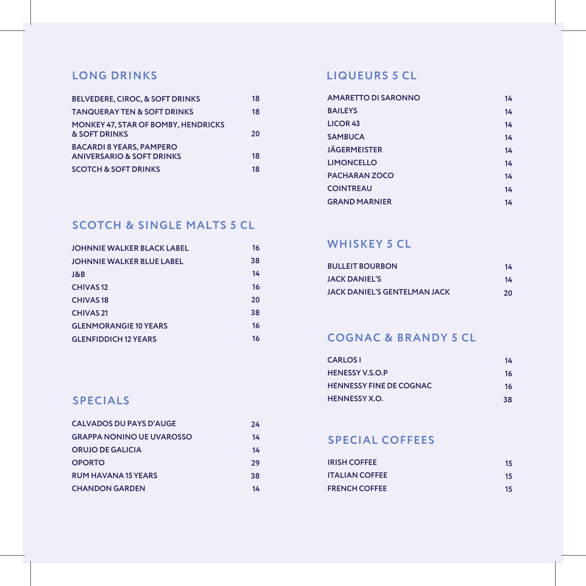# **LONG DRINKS**

| <b>BELVEDERE, CIROC, &amp; SOFT DRINKS</b>                  | 18 |
|-------------------------------------------------------------|----|
| <b>TANQUERAY TEN &amp; SOFT DRINKS</b>                      | 18 |
| <b>MONKEY 47, STAR OF BOMBY, HENDRICKS</b><br>& SOFT DRINKS | 20 |
| <b>BACARDI 8 YEARS, PAMPERO</b>                             |    |
| <b>ANIVERSARIO &amp; SOFT DRINKS</b>                        | 18 |
| <b>SCOTCH &amp; SOFT DRINKS</b>                             | 18 |

# **SCOTCH & SINGLE MALTS 5 CL**

| <b>JOHNNIE WALKER BLACK LABEL</b> | 16 |
|-----------------------------------|----|
| <b>JOHNNIE WALKER BLUE LABEL</b>  | 38 |
| 18B                               | 14 |
| <b>CHIVAS12</b>                   | 16 |
| <b>CHIVAS18</b>                   | 20 |
| <b>CHIVAS 21</b>                  | 38 |
| <b>GLENMORANGIE 10 YEARS</b>      | 16 |
| <b>GLENFIDDICH 12 YEARS</b>       | 16 |

# **LIQUEURS 5 CL**

| AMARETTO DI SARONNO  | 14 |
|----------------------|----|
| <b>BAILEYS</b>       | 14 |
| <b>LICOR 43</b>      | 14 |
| <b>SAMBUCA</b>       | 14 |
| <b>JÄGERMEISTER</b>  | 14 |
| <b>LIMONCELLO</b>    | 14 |
| <b>PACHARAN ZOCO</b> | 14 |
| <b>COINTREAU</b>     | 14 |
| <b>GRAND MARNIER</b> | 14 |

# **WHISKEY 5 CL**

| <b>BULLEIT BOURBON</b>       | 14 |
|------------------------------|----|
| <b>JACK DANIEL'S</b>         | 14 |
| JACK DANIEL'S GENTELMAN JACK | 20 |

# **COGNAC & BRANDY 5 CL**

| <b>CARLOS I</b>                | 14 |
|--------------------------------|----|
| <b>HENESSY V.S.O.P</b>         | 16 |
| <b>HENNESSY FINE DE COGNAC</b> | 16 |
| <b>HENNESSY X.O.</b>           | 38 |

# **SPECIALS**

| CALVADOS DU PAYS D'AUGE          | 24 |
|----------------------------------|----|
| <b>GRAPPA NONINO UE UVAROSSO</b> | 14 |
| <b>ORUJO DE GALICIA</b>          | 14 |
| <b>OPORTO</b>                    | 29 |
| <b>RUM HAVANA 15 YEARS</b>       | 38 |
| <b>CHANDON GARDEN</b>            | 14 |

# **SPECIAL COFFEES**

| <b>IRISH COFFEE</b>   | 15 |
|-----------------------|----|
| <b>ITALIAN COFFEE</b> | 15 |
| <b>FRENCH COFFEE</b>  | 15 |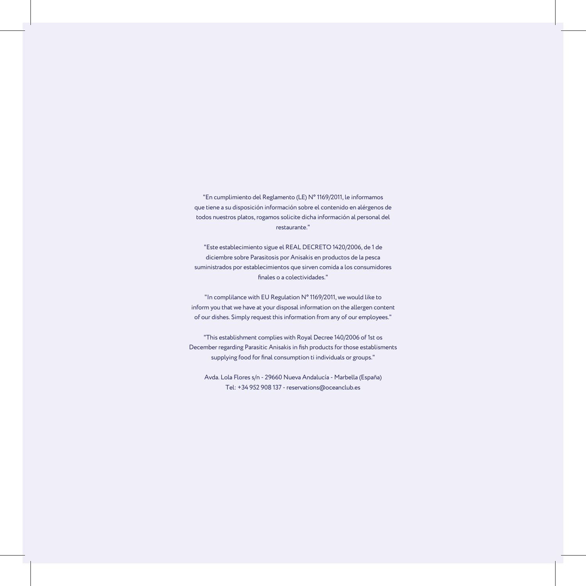"En cumplimiento del Reglamento (LE) N° 1169/2011, le informamos que tiene a su disposición información sobre el contenido en alérgenos de todos nuestros platos, rogamos solicite dicha información al personal del restaurante."

"Este establecimiento sigue el REAL DECRETO 1420/2006, de 1 de diciembre sobre Parasitosis por Anisakis en productos de la pesca suministrados por establecimientos que sirven comida a los consumidores finales o a colectividades."

"In complilance with EU Regulation N° 1169/2011, we would like to inform you that we have at your disposal information on the allergen content of our dishes. Simply request this information from any of our employees."

"This establishment complies with Royal Decree 140/2006 of 1st os December regarding Parasitic Anisakis in fish products for those establisments supplying food for final consumption ti individuals or groups."

Avda. Lola Flores s/n - 29660 Nueva Andalucía - Marbella (España) Tel: +34 952 908 137 - reservations@oceanclub.es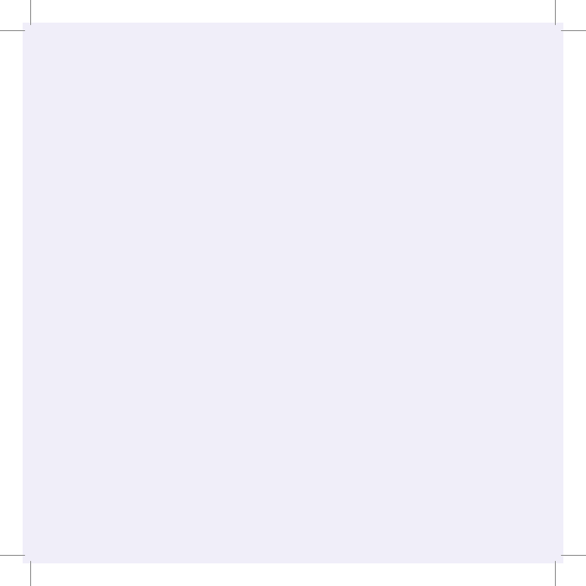